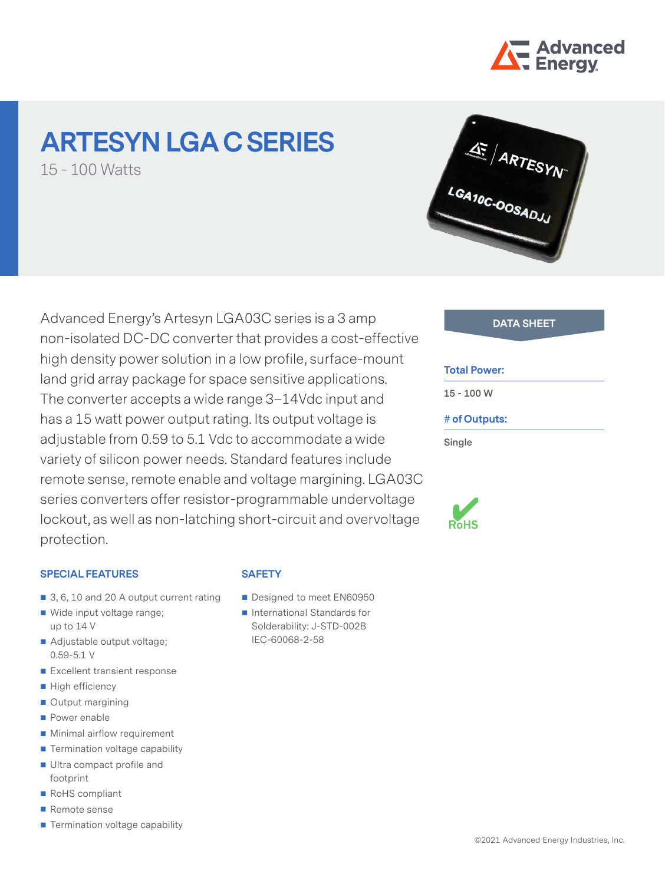

# **ARTESYN LGA C SERIES**

15 - 100 Watts



## Advanced Energy's Artesyn LGA03C series is a 3 amp non-isolated DC-DC converter that provides a cost-effective high density power solution in a low profile, surface-mount land grid array package for space sensitive applications. The converter accepts a wide range 3–14Vdc input and has a 15 watt power output rating. Its output voltage is adjustable from 0.59 to 5.1 Vdc to accommodate a wide variety of silicon power needs. Standard features include remote sense, remote enable and voltage margining. LGA03C series converters offer resistor-programmable undervoltage lockout, as well as non-latching short-circuit and overvoltage protection.

#### **SPECIAL FEATURES**

- 3, 6, 10 and 20 A output current rating
- Wide input voltage range; up to 14 V
- Adjustable output voltage; 0.59-5.1 V
- Excellent transient response
- High efficiency
- Output margining
- **Power enable**
- **Minimal airflow requirement**
- $\blacksquare$  Termination voltage capability
- Ultra compact profile and footprint
- RoHS compliant
- Remote sense
- Termination voltage capability

### **SAFETY**

- Designed to meet EN60950
- International Standards for Solderability: J-STD-002B IEC-60068-2-58

#### **Total Power:**

**15 - 100 W**

#### **# of Outputs:**

**Single**

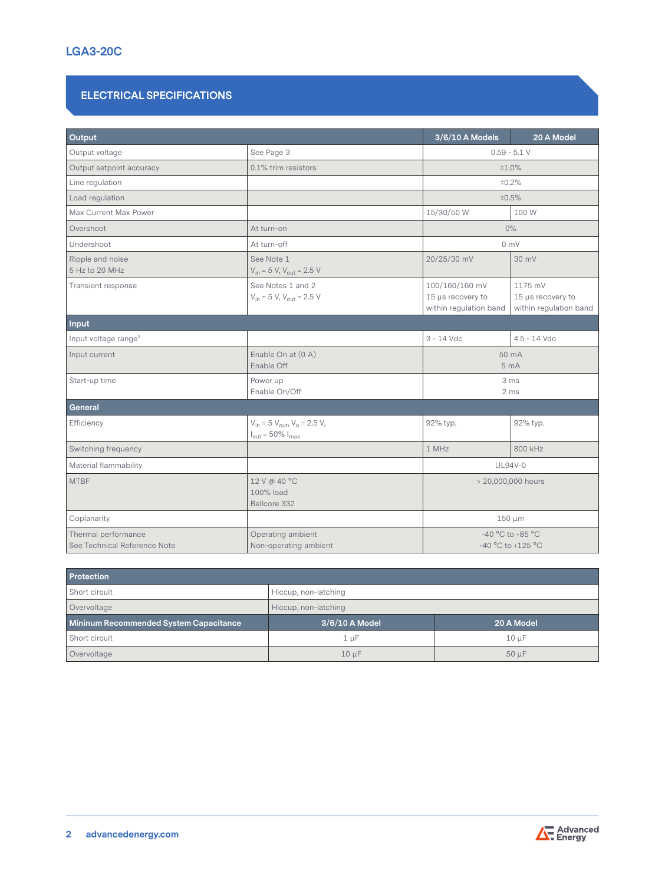#### **ELECTRICAL SPECIFICATIONS**

| Output                                              |                                                                                      | 3/6/10 A Models                                                                                                         | 20 A Model     |  |  |
|-----------------------------------------------------|--------------------------------------------------------------------------------------|-------------------------------------------------------------------------------------------------------------------------|----------------|--|--|
| Output voltage                                      | See Page 3                                                                           | $0.59 - 5.1 V$                                                                                                          |                |  |  |
| Output setpoint accuracy                            | 0.1% trim resistors                                                                  | ±1.0%                                                                                                                   |                |  |  |
| Line regulation                                     |                                                                                      |                                                                                                                         | ±0.2%          |  |  |
| Load regulation                                     |                                                                                      |                                                                                                                         | ±0.5%          |  |  |
| Max Current Max Power                               |                                                                                      | 15/30/50 W                                                                                                              | 100 W          |  |  |
| Overshoot                                           | At turn-on                                                                           |                                                                                                                         | $0\%$          |  |  |
| Undershoot                                          | At turn-off                                                                          |                                                                                                                         | 0 mV           |  |  |
| Ripple and noise<br>5 Hz to 20 MHz                  | See Note 1<br>$V_{in}$ = 5 V, $V_{out}$ = 2.5 V                                      | 20/25/30 mV                                                                                                             | 30 mV          |  |  |
| Transient response                                  | See Notes 1 and 2<br>$V_{in}$ = 5 V, $V_{out}$ = 2.5 V                               | 100/160/160 mV<br>1175 mV<br>15 µs recovery to<br>15 µs recovery to<br>within regulation band<br>within regulation band |                |  |  |
| Input                                               |                                                                                      |                                                                                                                         |                |  |  |
| Input voltage range <sup>3</sup>                    |                                                                                      | $3 - 14$ Vdc                                                                                                            | $4.5 - 14$ Vdc |  |  |
| Input current                                       | Enable On at (0 A)<br>Enable Off                                                     | 50 mA<br>5 <sub>mA</sub>                                                                                                |                |  |  |
| Start-up time                                       | Power up<br>Enable On/Off                                                            | 3 ms<br>2 <sub>ms</sub>                                                                                                 |                |  |  |
| General                                             |                                                                                      |                                                                                                                         |                |  |  |
| Efficiency                                          | $V_{in}$ = 5 $V_{out}$ , $V_{o}$ = 2.5 V,<br>$I_{\text{out}}$ = 50% $I_{\text{max}}$ | 92% typ.                                                                                                                | 92% typ.       |  |  |
| Switching frequency                                 |                                                                                      | 1 MHz<br>800 kHz                                                                                                        |                |  |  |
| Material flammability                               |                                                                                      | <b>UL94V-0</b>                                                                                                          |                |  |  |
| <b>MTBF</b>                                         | 12 V @ 40 °C<br>100% load<br>Bellcore 332                                            | > 20,000,000 hours                                                                                                      |                |  |  |
| Coplanarity                                         |                                                                                      | $150 \mu m$                                                                                                             |                |  |  |
| Thermal performance<br>See Technical Reference Note | Operating ambient<br>Non-operating ambient                                           | $-40$ °C to $+85$ °C<br>-40 °C to +125 °C                                                                               |                |  |  |

| <b>Protection</b>                      |                          |            |  |  |  |  |  |
|----------------------------------------|--------------------------|------------|--|--|--|--|--|
| Short circuit                          | Hiccup, non-latching     |            |  |  |  |  |  |
| Overvoltage                            | Hiccup, non-latching     |            |  |  |  |  |  |
| Mininum Recommended System Capacitance | $3/6/10$ A Model         | 20 A Model |  |  |  |  |  |
| Short circuit                          | 1 µF                     | $10 \mu F$ |  |  |  |  |  |
| Overvoltage                            | $50 \mu F$<br>$10 \mu F$ |            |  |  |  |  |  |

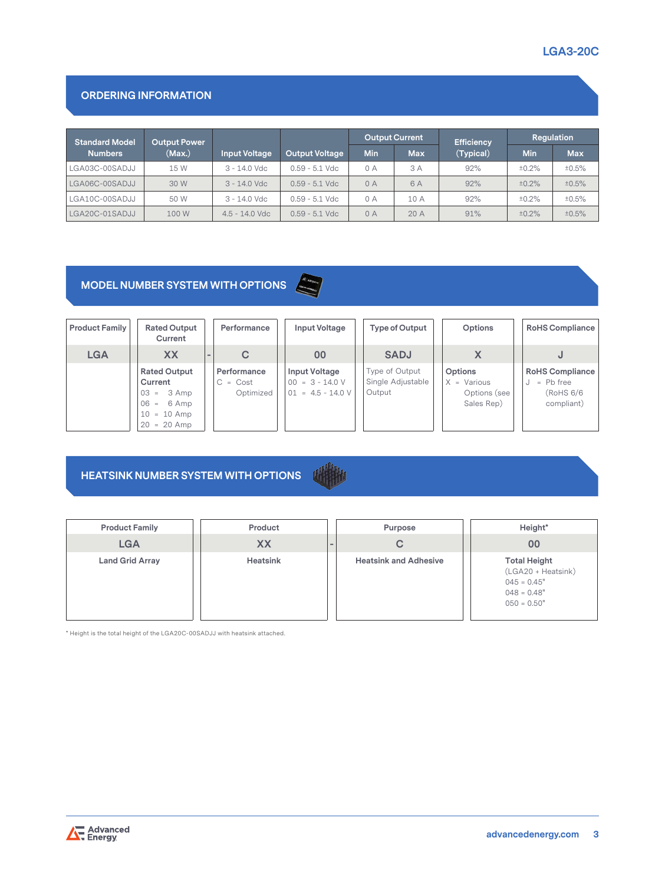#### **ORDERING INFORMATION**

| <b>Standard Model</b> | <b>Output Power</b> |                      |                       | <b>Output Current</b> |            | <b>Efficiency</b> | Regulation |            |
|-----------------------|---------------------|----------------------|-----------------------|-----------------------|------------|-------------------|------------|------------|
| <b>Numbers</b>        | (Max.)              | <b>Input Voltage</b> | <b>Output Voltage</b> | Min                   | <b>Max</b> | (Typical)         | <b>Min</b> | <b>Max</b> |
| LGA03C-00SADJJ        | 15 W                | $3 - 14.0$ Vdc       | $0.59 - 5.1$ Vdc      | 0 A                   | 3 A        | 92%               | ±0.2%      | ±0.5%      |
| LGA06C-00SADJJ        | 30 W                | $3 - 14.0$ Vdc       | $0.59 - 5.1$ Vdc      | 0A                    | 6 A        | 92%               | ±0.2%      | ±0.5%      |
| LGA10C-00SADJJ        | 50 W                | $3 - 14.0$ Vdc       | $0.59 - 5.1$ Vdc      | 0 A                   | 10A        | 92%               | ±0.2%      | ±0.5%      |
| LGA20C-01SADJJ        | 100 W               | $4.5 - 14.0$ Vdc     | $0.59 - 5.1$ Vdc      | 0A                    | 20A        | 91%               | ±0.2%      | ±0.5%      |

## **MODEL NUMBER SYSTEM WITH OPTIONS**

| <b>Product Family</b> | <b>Rated Output</b><br>Current                                                                      | Performance                            | <b>Input Voltage</b>                                             | Type of Output                                | Options                                                | <b>RoHS Compliance</b>                                           |
|-----------------------|-----------------------------------------------------------------------------------------------------|----------------------------------------|------------------------------------------------------------------|-----------------------------------------------|--------------------------------------------------------|------------------------------------------------------------------|
| <b>LGA</b>            | <b>XX</b>                                                                                           | C                                      | 00                                                               | <b>SADJ</b>                                   |                                                        |                                                                  |
|                       | <b>Rated Output</b><br>Current<br>$03 = 3$ Amp<br>$06 = 6$ Amp<br>$10 = 10$ Amp<br>$= 20$ Amp<br>20 | Performance<br>$C = Cost$<br>Optimized | <b>Input Voltage</b><br>$00 = 3 - 14.0 V$<br>$01 = 4.5 - 14.0 V$ | Type of Output<br>Single Adjustable<br>Output | Options<br>$X = Various$<br>Options (see<br>Sales Rep) | <b>RoHS Compliance</b><br>$=$ Pb free<br>(RoHS 6/6<br>compliant) |

#### **HEATSINK NUMBER SYSTEM WITH OPTIONS**

| <b>Product Family</b>  | Product   |        | Purpose                      | Height*                                                                                      |
|------------------------|-----------|--------|------------------------------|----------------------------------------------------------------------------------------------|
| <b>LGA</b>             | <b>XX</b> | $\sim$ | С                            | 00                                                                                           |
| <b>Land Grid Array</b> | Heatsink  |        | <b>Heatsink and Adhesive</b> | <b>Total Height</b><br>(LGA20 + Heatsink)<br>$045 = 0.45"$<br>$048 = 0.48"$<br>$050 = 0.50"$ |

\* Height is the total height of the LGA20C-00SADJJ with heatsink attached.

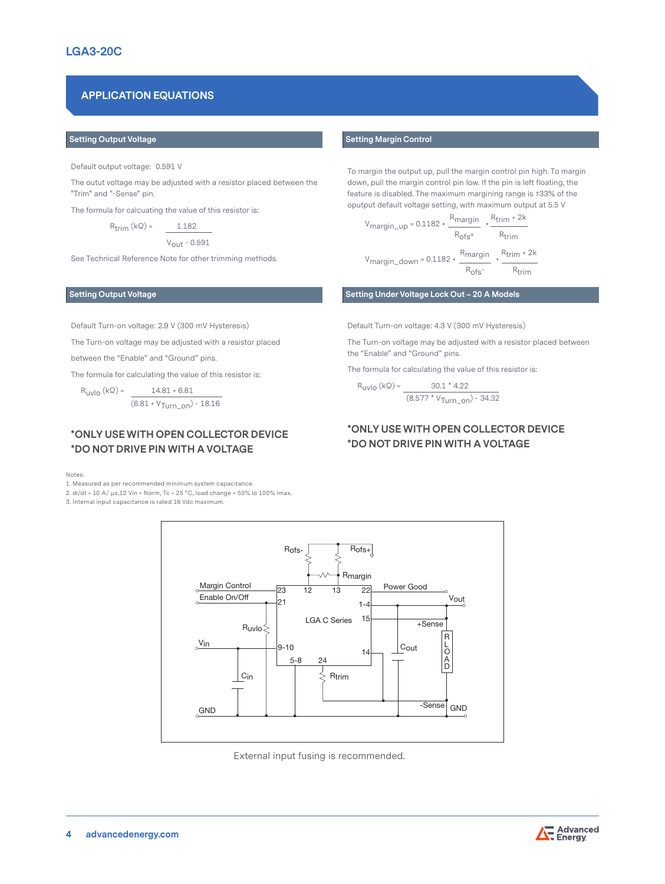### **APPLICATION EQUATIONS**

#### **Setting Output Voltage**

Default output voltage: 0.591 V

The outut voltage may be adjusted with a resistor placed between the "Trim" and "-Sense" pin.

The formula for calcuating the value of this resistor is:

 $R_{\text{trim}}(k\Omega) = 1.182$ 

 $V_{\text{out}}$  - 0.591

See Technical Reference Note for other trimming methods.

Default Turn-on voltage: 2.9 V (300 mV Hysteresis)

The Turn-on voltage may be adjusted with a resistor placed

between the "Enable" and "Ground" pins.

The formula for calculating the value of this resistor is:

 $R_{\text{UV}}(k\Omega) = 14.81 * 6.81$  $(6.81 \cdot V_{Turnon}) - 18.16$ 

#### **\*ONLY USE WITH OPEN COLLECTOR DEVICE \*DO NOT DRIVE PIN WITH A VOLTAGE**

Notes:

1. Measured as per recommended minimum system capacitance.

2. di/dt = 10 A/  $\mu$ s,12 Vin = Norm, Tc = 25 °C, load change = 50% lo 100% lmax.

3. Internal input capacitance is rated 16 Vdc maximum.

#### **Setting Margin Control**

To margin the output up, pull the margin control pin high. To margin down, pull the margin control pin low. If the pin is left floating, the feature is disabled. The maximum margining range is ±33% of the oputput default voltage setting, with maximum output at 5.5 V

 Vmargin\_up = 0.1182 \* R<sub>margin</sub>  $R_{trim} + 2k$  $R_{\text{ofs}}$ +  $R_{\text{trim}}$ Rtrim + 2k

 Vmargin\_down = 0.1182 \*  $\frac{R_{margin}}{R_{ofs}}$  $R_{trim}$ 

**Setting Output Voltage Setting Under Voltage Lock Out – 20 A Models**

Default Turn-on voltage: 4.3 V (300 mV Hysteresis)

The Turn-on voltage may be adjusted with a resistor placed between the "Enable" and "Ground" pins.

The formula for calculating the value of this resistor is:

 $R_{\text{UV}}(k\Omega) =$  30.1 \* 4.22  $(8.577 * V_{Turn\_on}) - 34.32$ 

#### **\*ONLY USE WITH OPEN COLLECTOR DEVICE \*DO NOT DRIVE PIN WITH A VOLTAGE**



External input fusing is recommended.

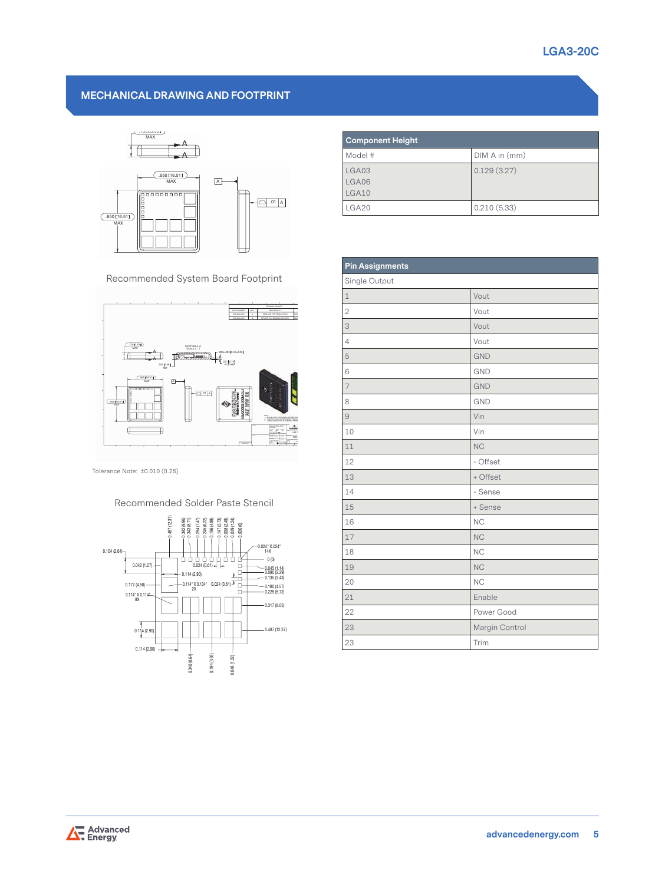#### **MECHANICAL DRAWING AND FOOTPRINT**

D



Recommended System Board Footprint



Tolerance Note: ±0.010 (0.25)

#### Recommended Solder Paste Stencil



| <b>Component Height</b> |               |  |  |  |
|-------------------------|---------------|--|--|--|
| Model #                 | DIM A in (mm) |  |  |  |
| LGA03<br>LGA06<br>LGA10 | 0.129(3.27)   |  |  |  |
| LGA20                   | 0.210(5.33)   |  |  |  |

D

|                                                                                                                                                                                                     | <b>Pin Assignments</b> |                |  |  |  |  |
|-----------------------------------------------------------------------------------------------------------------------------------------------------------------------------------------------------|------------------------|----------------|--|--|--|--|
| commended System Board Footprint                                                                                                                                                                    | Single Output          |                |  |  |  |  |
|                                                                                                                                                                                                     | $\mathbf{1}$           | Vout           |  |  |  |  |
| REVSION RECOR<br>PART NUM<br>7201223-0000<br><b>RELEASE FOR PRODUCTOR</b>                                                                                                                           | $\mathbf{2}$           | Vout           |  |  |  |  |
|                                                                                                                                                                                                     | 3                      | Vout           |  |  |  |  |
| 139 [3.53]<br>SECTION A-A<br>SCALE 4: 1                                                                                                                                                             | $\overline{4}$         | Vout           |  |  |  |  |
| 020+003 0.51+0.08<br><b>Kitchen Har</b><br>$\mathbf{L}$ .con [0.79]                                                                                                                                 | 5                      | <b>GND</b>     |  |  |  |  |
| .102 [2.50] $\frac{1}{\text{ReF}}$<br>$\frac{cos(16.51)}{max}$                                                                                                                                      | 6                      | <b>GND</b>     |  |  |  |  |
| ⊡<br>gaaaaaaaa<br>$\bigcirc$ of A                                                                                                                                                                   | 7                      | <b>GND</b>     |  |  |  |  |
| <b>SIS RADIO AND</b><br>THE RADIO AND<br>$\frac{16.511}{4X}$                                                                                                                                        | 8                      | <b>GND</b>     |  |  |  |  |
|                                                                                                                                                                                                     | $\Theta$               | Vin            |  |  |  |  |
| $\overline{1}$ $\overline{1}$                                                                                                                                                                       | 10                     | Vin            |  |  |  |  |
| $+1$                                                                                                                                                                                                | 11                     | <b>NC</b>      |  |  |  |  |
|                                                                                                                                                                                                     | 12                     | - Offset       |  |  |  |  |
| e Note: ±0.010 (0.25)                                                                                                                                                                               | 13                     | + Offset       |  |  |  |  |
|                                                                                                                                                                                                     | 14                     | - Sense        |  |  |  |  |
| Recommended Solder Paste Stencil                                                                                                                                                                    | 15                     | + Sense        |  |  |  |  |
| 0.487 (12.37)<br>$\begin{array}{r} 0.392\ 899\\ 0.243\ 8.71)\\ 0.244\ 7.47)\\ 0.245\ 6.22)\\ 0.196\ 4.98)\\ 0.147\ 8.73)\\ 0.088\ 2.43)\\ 0.088\ 2.43)\\ 0.049\ 1.24)\\ 0.049\ 1.24)\\ \end{array}$ | 16                     | <b>NC</b>      |  |  |  |  |
|                                                                                                                                                                                                     | 17                     | <b>NC</b>      |  |  |  |  |
| $0.024$ * $X.024$ *<br>$.64) -$<br>14X<br>0(0)                                                                                                                                                      | 18                     | <b>NC</b>      |  |  |  |  |
| $0.042(1.07) -$<br>- 0.045 (1.14)<br>- 0.090 (2.29)<br>O-<br>$-0.114(2.90)$                                                                                                                         | 19                     | <b>NC</b>      |  |  |  |  |
| $-0.135(3.43)$<br>D.<br>$-0.114^{\circ}$ X 0.104° 0.024 (0.61) $\frac{1}{\sqrt{2}}$<br>0.177(4.50)<br>$-0.180(4.57)$<br>D <sup>-</sup><br>$-0.225(5.72)$<br>$0.114$ " X 0.114"-<br>8X               | 20                     | <b>NC</b>      |  |  |  |  |
|                                                                                                                                                                                                     | 21                     | Enable         |  |  |  |  |
| $-0.317(8.05)$                                                                                                                                                                                      | 22                     | Power Good     |  |  |  |  |
| $-0.487(12.37)$<br>0.114(2.90)                                                                                                                                                                      | 23                     | Margin Control |  |  |  |  |
| 0.114(2.90)                                                                                                                                                                                         | 23                     | Trim           |  |  |  |  |
|                                                                                                                                                                                                     |                        |                |  |  |  |  |